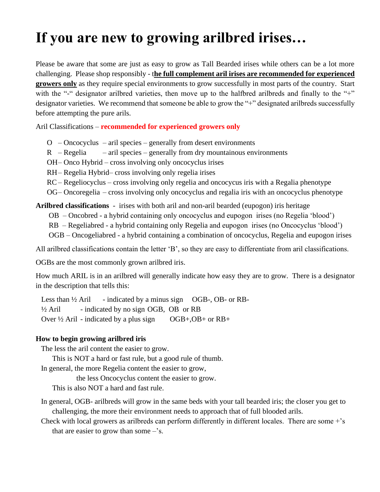## **If you are new to growing arilbred irises…**

Please be aware that some are just as easy to grow as Tall Bearded irises while others can be a lot more challenging. Please shop responsibly - t**he full complement aril irises are recommended for experienced growers only** as they require special environments to grow successfully in most parts of the country. Start with the "-" designator arilbred varieties, then move up to the halfbred arilbreds and finally to the "+" designator varieties. We recommend that someone be able to grow the "+" designated arilbreds successfully before attempting the pure arils.

Aril Classifications – **recommended for experienced growers only**

 $O$  – Oncocyclus – aril species – generally from desert environments

 $R$  – Regelia – aril species – generally from dry mountainous environments

OH– Onco Hybrid – cross involving only oncocyclus irises

RH– Regelia Hybrid– cross involving only regelia irises

RC– Regeliocyclus – cross involving only regelia and oncocycus iris with a Regalia phenotype

OG– Oncoregelia – cross involving only oncocyclus and regalia iris with an oncocyclus phenotype

**Arilbred classifications** - irises with both aril and non-aril bearded (eupogon) iris heritage

OB – Oncobred - a hybrid containing only oncocyclus and eupogon irises (no Regelia 'blood')

RB – Regeliabred - a hybrid containing only Regelia and eupogon irises (no Oncocyclus 'blood')

OGB – Oncogeliabred - a hybrid containing a combination of oncocyclus, Regelia and eupogon irises

All arilbred classifications contain the letter 'B', so they are easy to differentiate from aril classifications.

OGBs are the most commonly grown arilbred iris.

How much ARIL is in an arilbred will generally indicate how easy they are to grow. There is a designator in the description that tells this:

Less than  $\frac{1}{2}$  Aril - indicated by a minus sign OGB-, OB- or RB- $\frac{1}{2}$  Aril - indicated by no sign OGB, OB or RB Over  $\frac{1}{2}$  Aril - indicated by a plus sign OGB+, OB+ or RB+

## **How to begin growing arilbred iris**

The less the aril content the easier to grow.

This is NOT a hard or fast rule, but a good rule of thumb.

In general, the more Regelia content the easier to grow,

the less Oncocyclus content the easier to grow.

This is also NOT a hard and fast rule.

- In general, OGB- arilbreds will grow in the same beds with your tall bearded iris; the closer you get to challenging, the more their environment needs to approach that of full blooded arils.
- Check with local growers as arilbreds can perform differently in different locales. There are some  $+$ 's that are easier to grow than some –'s.